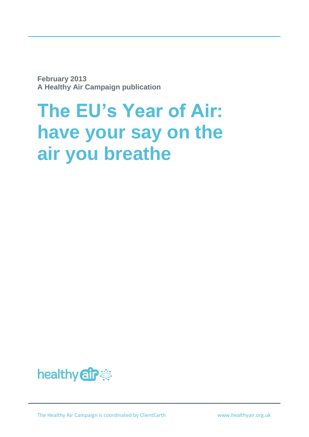**February 2013 A Healthy Air Campaign publication**

# **The EU's Year of Air: have your say on the air you breathe**

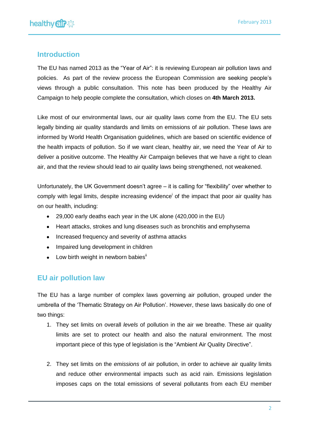## **Introduction**

The EU has named 2013 as the "Year of Air": it is reviewing European air pollution laws and policies. As part of the review process the European Commission are seeking people's views through a public consultation. This note has been produced by the Healthy Air Campaign to help people complete the consultation, which closes on **4th March 2013.**

Like most of our environmental laws, our air quality laws come from the EU. The EU sets legally binding air quality standards and limits on emissions of air pollution. These laws are informed by World Health Organisation guidelines, which are based on scientific evidence of the health impacts of pollution. So if we want clean, healthy air, we need the Year of Air to deliver a positive outcome. The Healthy Air Campaign believes that we have a right to clean air, and that the review should lead to air quality laws being strengthened, not weakened.

Unfortunately, the UK Government doesn't agree – it is calling for "flexibility" over whether to comply with legal limits, despite increasing evidence<sup>i</sup> of the impact that poor air quality has on our health, including:

- 29,000 early deaths each year in the UK alone (420,000 in the EU)
- Heart attacks, strokes and lung diseases such as bronchitis and emphysema
- Increased frequency and severity of asthma attacks
- Impaired lung development in children
- $\bullet$  Low birth weight in newborn babies<sup>ii</sup>

## **EU air pollution law**

The EU has a large number of complex laws governing air pollution, grouped under the umbrella of the 'Thematic Strategy on Air Pollution'. However, these laws basically do one of two things:

- 1. They set limits on overall *levels* of pollution in the air we breathe. These air quality limits are set to protect our health and also the natural environment. The most important piece of this type of legislation is the "Ambient Air Quality Directive".
- 2. They set limits on the *emissions* of air pollution, in order to achieve air quality limits and reduce other environmental impacts such as acid rain. Emissions legislation imposes caps on the total emissions of several pollutants from each EU member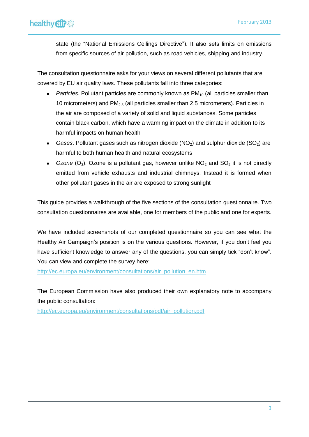state (the "National Emissions Ceilings Directive"). It also sets limits on emissions from specific sources of air pollution, such as road vehicles, shipping and industry.

The consultation questionnaire asks for your views on several different pollutants that are covered by EU air quality laws. These pollutants fall into three categories:

- *Particles.* Pollutant particles are commonly known as PM<sub>10</sub> (all particles smaller than  $\bullet$ 10 micrometers) and  $PM<sub>2.5</sub>$  (all particles smaller than 2.5 micrometers). Particles in the air are composed of a variety of solid and liquid substances. Some particles contain black carbon, which have a warming impact on the climate in addition to its harmful impacts on human health
- Gases. Pollutant gases such as nitrogen dioxide (NO<sub>2</sub>) and sulphur dioxide (SO<sub>2</sub>) are harmful to both human health and natural ecosystems
- Ozone  $(O_3)$ . Ozone is a pollutant gas, however unlike  $NO_2$  and  $SO_2$  it is not directly emitted from vehicle exhausts and industrial chimneys. Instead it is formed when other pollutant gases in the air are exposed to strong sunlight

This guide provides a walkthrough of the five sections of the consultation questionnaire. Two consultation questionnaires are available, one for members of the public and one for experts.

We have included screenshots of our completed questionnaire so you can see what the Healthy Air Campaign's position is on the various questions. However, if you don't feel you have sufficient knowledge to answer any of the questions, you can simply tick "don't know". You can view and complete the survey here:

[http://ec.europa.eu/environment/consultations/air\\_pollution\\_en.htm](http://ec.europa.eu/environment/consultations/air_pollution_en.htm)

The European Commission have also produced their own explanatory note to accompany the public consultation:

[http://ec.europa.eu/environment/consultations/pdf/air\\_pollution.pdf](http://ec.europa.eu/environment/consultations/pdf/air_pollution.pdf)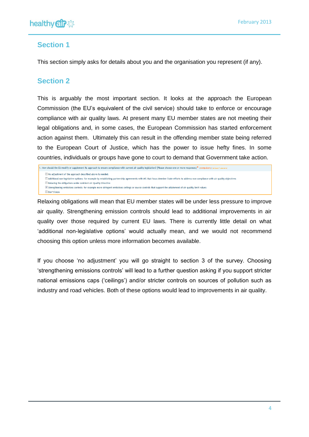## **Section 1**

This section simply asks for details about you and the organisation you represent (if any).

## **Section 2**

This is arguably the most important section. It looks at the approach the European Commission (the EU's equivalent of the civil service) should take to enforce or encourage compliance with air quality laws. At present many EU member states are not meeting their legal obligations and, in some cases, the European Commission has started enforcement action against them. Ultimately this can result in the offending member state being referred to the European Court of Justice, which has the power to issue hefty fines. In some countries, individuals or groups have gone to court to demand that Government take action.

```
1. How should the EU modify or supplement its approach to ensure compliance with current air quality legislation? (Please choose one or more responses)* (compulsory) at least 1 a
     No adjustment of the approach described above is needed.
     I Additional non-legislative options: for example by establishing partnership agreements with MS that focus Member State efforts to address non-compliance with air quality objectives
     Relaxing the obligations under Ambient Air Ouality Directive
     E Strengthening emissions controls: for example more stringent emissions ceilings or source controls that support the attainment of air quality limit values
     Don't know
```
Relaxing obligations will mean that EU member states will be under less pressure to improve air quality. Strengthening emission controls should lead to additional improvements in air quality over those required by current EU laws. There is currently little detail on what 'additional non-legislative options' would actually mean, and we would not recommend choosing this option unless more information becomes available.

If you choose 'no adjustment' you will go straight to section 3 of the survey. Choosing 'strengthening emissions controls' will lead to a further question asking if you support stricter national emissions caps ('ceilings') and/or stricter controls on sources of pollution such as industry and road vehicles. Both of these options would lead to improvements in air quality.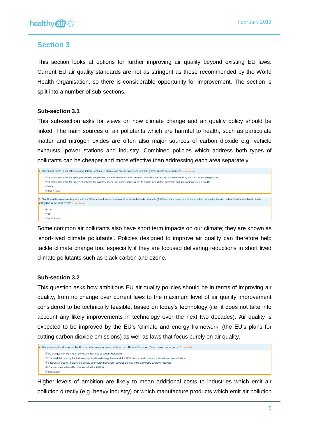

### **Section 3**

This section looks at options for further improving air quality beyond existing EU laws. Current EU air quality standards are not as stringent as those recommended by the World Health Organisation, so there is considerable opportunity for improvement. The section is split into a number of sub-sections.

#### **Sub-section 3.1**

This sub-section asks for views on how climate change and air quality policy should be linked. The main sources of air pollutants which are harmful to health, such as particulate matter and nitrogen oxides are often also major sources of carbon dioxide e.g. vehicle exhausts, power stations and industry. Combined policies which address both types of pollutants can be cheaper and more effective than addressing each area separately.

```
2. How should future EU air pollution policy interact with a new climate and energy framework for 2030? (Please choose one response)* (compulsory)
      If thould maximise the synergies between the policies, but with no new air pollutant emissions reductions except those delivered by the climate and energy policy
      <sup>1</sup> It should maximise the synergies between the policies, and set out additional measures to reduce air pollutant emissions and improvements to air quality
      © Other
      O Don't know
3. Should specific complementary action in the EU be pursued to curb emission of short-lived climate pollutants (SLCP) and their precursors, to improve both air quality impacts on health but also to boost climate
mitigation in the short term?* (compulsory)
      O Yes
      \odot No
      © Don't know
```
Some common air pollutants also have short term impacts on our climate; they are known as 'short-lived climate pollutants'. Policies designed to improve air quality can therefore help tackle climate change too, especially if they are focused delivering reductions in short lived climate pollutants such as black carbon and ozone.

#### **Sub-section 3.2**

This question asks how ambitious EU air quality policies should be in terms of improving air quality, from no change over current laws to the maximum level of air quality improvement considered to be technically feasible, based on today's technology (i.e. it does not take into account any likely improvements in technology over the next two decades). Air quality is expected to be improved by the EU's 'climate and energy framework' (the EU's plans for cutting carbon dioxide emissions) as well as laws that focus purely on air quality.

- © No change: only the level of protection delivered by current legislation
- The level delivered by the forthcoming climate and energy framework for 2030, without additional air pollutant emission reductions
- Substantial progress beyond the climate and energy framework, towards the maximum achievable pollution reduction

Higher levels of ambition are likely to mean additional costs to industries which emit air pollution directly (e.g. heavy industry) or which manufacture products which emit air pollution

<sup>4.</sup> How much additional progress should EU air pollution policy pursue in the revised Thematic Strategy? (Please choose one response)\* (compulsory)

The maximum achievable pollution reduction (MTFR)

**O** Don't know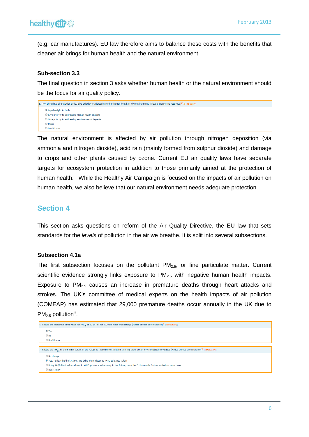(e.g. car manufactures). EU law therefore aims to balance these costs with the benefits that cleaner air brings for human health and the natural environment.

#### **Sub-section 3.3**

The final question in section 3 asks whether human health or the natural environment should be the focus for air quality policy.

```
5. How should EU air pollution policy give priority to addressing either human health or the environment? (Please choose one response)* (compulsory)
      <sup>O</sup> Equal weight to both
      Sive priority to addressing human health impacts
      © Give priority to addressing environmental impacts
      O Other
      Don't know
```
The natural environment is affected by air pollution through nitrogen deposition (via ammonia and nitrogen dioxide), acid rain (mainly formed from sulphur dioxide) and damage to crops and other plants caused by ozone. Current EU air quality laws have separate targets for ecosystem protection in addition to those primarily aimed at the protection of human health. While the Healthy Air Campaign is focused on the impacts of air pollution on human health, we also believe that our natural environment needs adequate protection.

## **Section 4**

This section asks questions on reform of the Air Quality Directive, the EU law that sets standards for the *levels* of pollution in the air we breathe. It is split into several subsections.

#### **Subsection 4.1a**

The first subsection focuses on the pollutant  $PM<sub>2.5</sub>$ , or fine particulate matter. Current scientific evidence strongly links exposure to  $PM<sub>2.5</sub>$  with negative human health impacts. Exposure to  $PM<sub>2.5</sub>$  causes an increase in premature deaths through heart attacks and strokes. The UK's committee of medical experts on the health impacts of air pollution (COMEAP) has estimated that 29,000 premature deaths occur annually in the UK due to  $PM<sub>2.5</sub>$  pollution<sup>iii</sup>.

```
6. Should the indicative limit value for PM<sub>2</sub> e of 20 µg/m<sup>3</sup> for 2020 be made mandatory? (Please choose one response)* (compulsory)
      \odot Yes
      \bigcirc No
      © Don't know
7. Should the PM<sub>2,5</sub> or other limit values in the AAQD be made more stringent to bring them closer to WHO guidance values? (Please choose one response)* (comp
      No change
      ● Yes, review the limit values and bring them closer to WHO guidance values
      Simp AAQD limit values closer to WHO guidance values only in the future, once the EU has made further emissions reductions
      O Don't know
```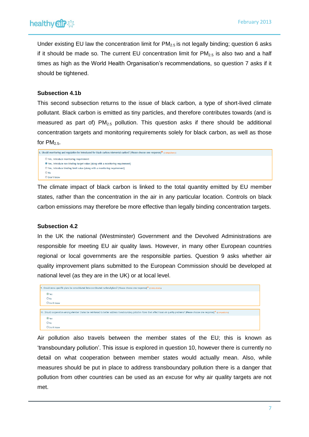Under existing EU law the concentration limit for  $PM<sub>2.5</sub>$  is not legally binding; question 6 asks if it should be made so. The current EU concentration limit for  $PM<sub>2.5</sub>$  is also two and a half times as high as the World Health Organisation's recommendations, so question 7 asks if it should be tightened.

#### **Subsection 4.1b**

This second subsection returns to the issue of black carbon, a type of short-lived climate pollutant. Black carbon is emitted as tiny particles, and therefore contributes towards (and is measured as part of)  $PM<sub>2.5</sub>$  pollution. This question asks if there should be additional concentration targets and monitoring requirements solely for black carbon, as well as those for  $PM_{2.5}$ .

```
8. Should monitoring and regulation be introduced for black carbon/elemental carbon? (Please choose one response)* (compulsory)
      ● Yes, introduce monitoring requirement
      <sup>O</sup> Yes, introduce non-binding target value (along with a monitoring requirement)
      O Yes, introduce binding limit value (along with a monitoring requirement)
      <sup>•</sup> No</sup>
      © Don't know
```
The climate impact of black carbon is linked to the total quantity emitted by EU member states, rather than the concentration in the air in any particular location. Controls on black carbon emissions may therefore be more effective than legally binding concentration targets.

#### **Subsection 4.2**

In the UK the national (Westminster) Government and the Devolved Administrations are responsible for meeting EU air quality laws. However, in many other European countries regional or local governments are the responsible parties. Question 9 asks whether air quality improvement plans submitted to the European Commission should be developed at national level (as they are in the UK) or at local level.



Air pollution also travels between the member states of the EU; this is known as 'transboundary pollution'. This issue is explored in question 10, however there is currently no detail on what cooperation between member states would actually mean. Also, while measures should be put in place to address transboundary pollution there is a danger that pollution from other countries can be used as an excuse for why air quality targets are not met.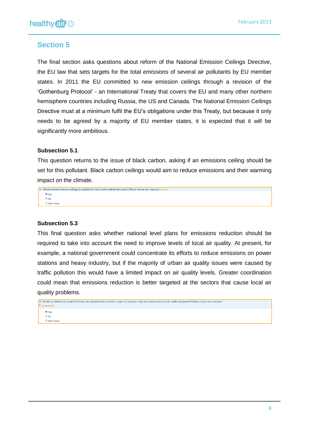## **Section 5**

The final section asks questions about reform of the National Emission Ceilings Directive, the EU law that sets targets for the total *emissions* of several air pollutants by EU member states. In 2011 the EU committed to new emission ceilings through a revision of the 'Gothenburg Protocol' - an International Treaty that covers the EU and many other northern hemisphere countries including Russia, the US and Canada. The National Emission Ceilings Directive must at a minimum fulfil the EU's obligations under this Treaty, but because it only needs to be agreed by a majority of EU member states, it is expected that it will be significantly more ambitious.

#### **Subsection 5.1**

This question returns to the issue of black carbon, asking if an emissions ceiling should be set for this pollutant. Black carbon ceilings would aim to reduce emissions and their warming impact on the climate.

| 11. Should national emission ceilings be adopted for black carbon/elemental carbon? (Please choose one response) (optional) |
|-----------------------------------------------------------------------------------------------------------------------------|
| O Yes                                                                                                                       |
| $\bigcirc$ No                                                                                                               |
| Don't know                                                                                                                  |

#### **Subsection 5.3**

This final question asks whether national level plans for emissions reduction should be required to take into account the need to improve levels of local air quality. At present, for example, a national government could concentrate its efforts to reduce emissions on power stations and heavy industry, but if the majority of urban air quality issues were caused by traffic pollution this would have a limited impact on air quality levels. Greater coordination could mean that emissions reduction is better targeted at the sectors that cause local air quality problems.